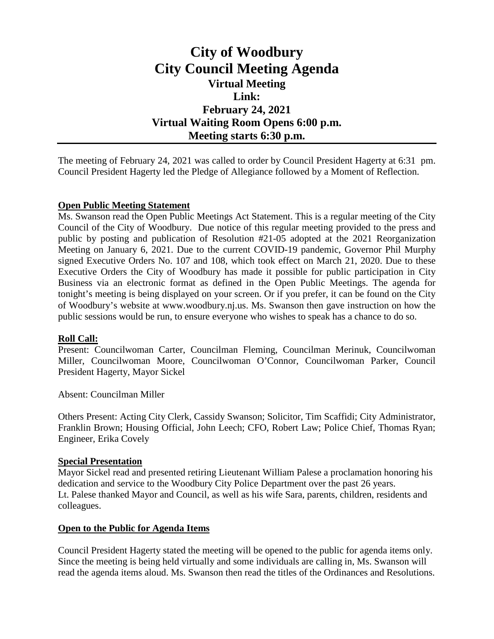# **City of Woodbury City Council Meeting Agenda Virtual Meeting Link: February 24, 2021 Virtual Waiting Room Opens 6:00 p.m. Meeting starts 6:30 p.m.**

The meeting of February 24, 2021 was called to order by Council President Hagerty at 6:31 pm. Council President Hagerty led the Pledge of Allegiance followed by a Moment of Reflection.

# **Open Public Meeting Statement**

Ms. Swanson read the Open Public Meetings Act Statement. This is a regular meeting of the City Council of the City of Woodbury. Due notice of this regular meeting provided to the press and public by posting and publication of Resolution #21-05 adopted at the 2021 Reorganization Meeting on January 6, 2021. Due to the current COVID-19 pandemic, Governor Phil Murphy signed Executive Orders No. 107 and 108, which took effect on March 21, 2020. Due to these Executive Orders the City of Woodbury has made it possible for public participation in City Business via an electronic format as defined in the Open Public Meetings. The agenda for tonight's meeting is being displayed on your screen. Or if you prefer, it can be found on the City of Woodbury's website at www.woodbury.nj.us. Ms. Swanson then gave instruction on how the public sessions would be run, to ensure everyone who wishes to speak has a chance to do so.

# **Roll Call:**

Present: Councilwoman Carter, Councilman Fleming, Councilman Merinuk, Councilwoman Miller, Councilwoman Moore, Councilwoman O'Connor, Councilwoman Parker, Council President Hagerty, Mayor Sickel

Absent: Councilman Miller

Others Present: Acting City Clerk, Cassidy Swanson; Solicitor, Tim Scaffidi; City Administrator, Franklin Brown; Housing Official, John Leech; CFO, Robert Law; Police Chief, Thomas Ryan; Engineer, Erika Covely

# **Special Presentation**

Mayor Sickel read and presented retiring Lieutenant William Palese a proclamation honoring his dedication and service to the Woodbury City Police Department over the past 26 years. Lt. Palese thanked Mayor and Council, as well as his wife Sara, parents, children, residents and colleagues.

# **Open to the Public for Agenda Items**

Council President Hagerty stated the meeting will be opened to the public for agenda items only. Since the meeting is being held virtually and some individuals are calling in, Ms. Swanson will read the agenda items aloud. Ms. Swanson then read the titles of the Ordinances and Resolutions.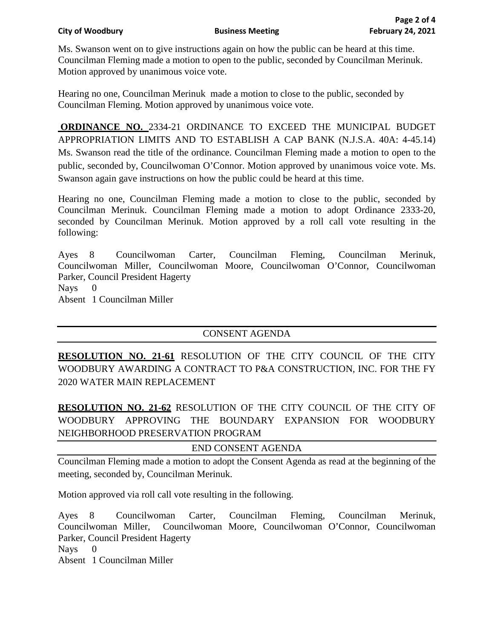Ms. Swanson went on to give instructions again on how the public can be heard at this time. Councilman Fleming made a motion to open to the public, seconded by Councilman Merinuk. Motion approved by unanimous voice vote.

Hearing no one, Councilman Merinuk made a motion to close to the public, seconded by Councilman Fleming. Motion approved by unanimous voice vote.

**ORDINANCE NO. 2334-21 ORDINANCE TO EXCEED THE MUNICIPAL BUDGET** APPROPRIATION LIMITS AND TO ESTABLISH A CAP BANK (N.J.S.A. 40A: 4-45.14) Ms. Swanson read the title of the ordinance. Councilman Fleming made a motion to open to the public, seconded by, Councilwoman O'Connor. Motion approved by unanimous voice vote. Ms. Swanson again gave instructions on how the public could be heard at this time.

Hearing no one, Councilman Fleming made a motion to close to the public, seconded by Councilman Merinuk. Councilman Fleming made a motion to adopt Ordinance 2333-20, seconded by Councilman Merinuk. Motion approved by a roll call vote resulting in the following:

Ayes 8 Councilwoman Carter, Councilman Fleming, Councilman Merinuk, Councilwoman Miller, Councilwoman Moore, Councilwoman O'Connor, Councilwoman Parker, Council President Hagerty Nays 0 Absent 1 Councilman Miller

# CONSENT AGENDA

**RESOLUTION NO. 21-61** RESOLUTION OF THE CITY COUNCIL OF THE CITY WOODBURY AWARDING A CONTRACT TO P&A CONSTRUCTION, INC. FOR THE FY 2020 WATER MAIN REPLACEMENT

**RESOLUTION NO. 21-62** RESOLUTION OF THE CITY COUNCIL OF THE CITY OF WOODBURY APPROVING THE BOUNDARY EXPANSION FOR WOODBURY NEIGHBORHOOD PRESERVATION PROGRAM

END CONSENT AGENDA

Councilman Fleming made a motion to adopt the Consent Agenda as read at the beginning of the meeting, seconded by, Councilman Merinuk.

Motion approved via roll call vote resulting in the following.

Ayes 8 Councilwoman Carter, Councilman Fleming, Councilman Merinuk, Councilwoman Miller, Councilwoman Moore, Councilwoman O'Connor, Councilwoman Parker, Council President Hagerty

Nays 0

Absent 1 Councilman Miller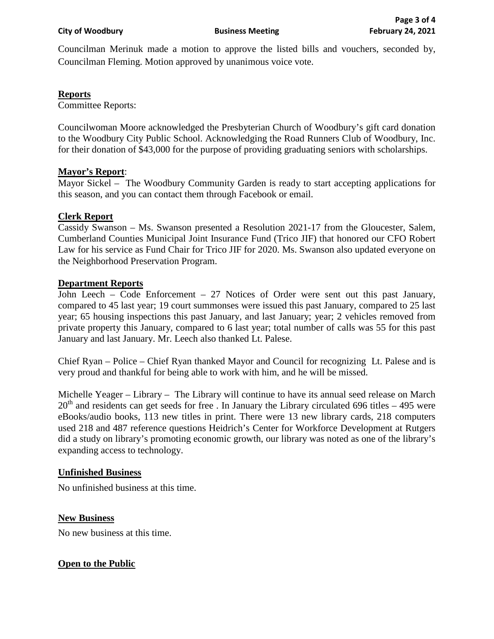Councilman Merinuk made a motion to approve the listed bills and vouchers, seconded by, Councilman Fleming. Motion approved by unanimous voice vote.

#### **Reports**

Committee Reports:

Councilwoman Moore acknowledged the Presbyterian Church of Woodbury's gift card donation to the Woodbury City Public School. Acknowledging the Road Runners Club of Woodbury, Inc. for their donation of \$43,000 for the purpose of providing graduating seniors with scholarships.

#### **Mayor's Report**:

Mayor Sickel – The Woodbury Community Garden is ready to start accepting applications for this season, and you can contact them through Facebook or email.

# **Clerk Report**

Cassidy Swanson – Ms. Swanson presented a Resolution 2021-17 from the Gloucester, Salem, Cumberland Counties Municipal Joint Insurance Fund (Trico JIF) that honored our CFO Robert Law for his service as Fund Chair for Trico JIF for 2020. Ms. Swanson also updated everyone on the Neighborhood Preservation Program.

#### **Department Reports**

John Leech – Code Enforcement – 27 Notices of Order were sent out this past January, compared to 45 last year; 19 court summonses were issued this past January, compared to 25 last year; 65 housing inspections this past January, and last January; year; 2 vehicles removed from private property this January, compared to 6 last year; total number of calls was 55 for this past January and last January. Mr. Leech also thanked Lt. Palese.

Chief Ryan – Police – Chief Ryan thanked Mayor and Council for recognizing Lt. Palese and is very proud and thankful for being able to work with him, and he will be missed.

Michelle Yeager – Library – The Library will continue to have its annual seed release on March  $20<sup>th</sup>$  and residents can get seeds for free . In January the Library circulated 696 titles – 495 were eBooks/audio books, 113 new titles in print. There were 13 new library cards, 218 computers used 218 and 487 reference questions Heidrich's Center for Workforce Development at Rutgers did a study on library's promoting economic growth, our library was noted as one of the library's expanding access to technology.

#### **Unfinished Business**

No unfinished business at this time.

# **New Business**

No new business at this time.

# **Open to the Public**